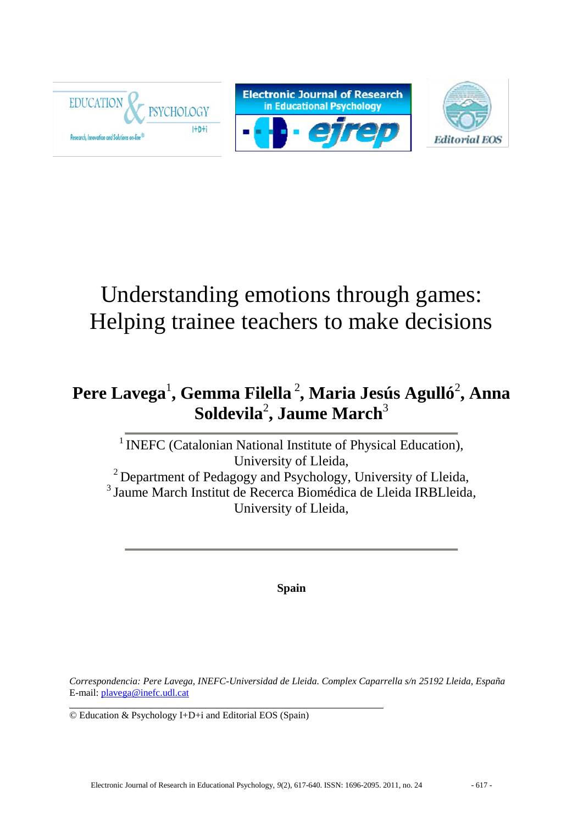

# Understanding emotions through games: Helping trainee teachers to make decisions

## **Pere Lavega**<sup>1</sup> **, Gemma Filella** <sup>2</sup> **, Maria Jesús Agulló**<sup>2</sup> **, Anna**  $\mathbf S$ oldevila<sup>2</sup>, Jaume March $^3$

<sup>1</sup> INEFC (Catalonian National Institute of Physical Education), University of Lleida, <sup>2</sup> Department of Pedagogy and Psychology, University of Lleida, <sup>3</sup>Jaume March Institut de Recerca Biomédica de Lleida IRBLleida, University of Lleida,

**Spain**

*Correspondencia: Pere Lavega, INEFC-Universidad de Lleida. Complex Caparrella s/n 25192 Lleida, España* E-mail: [plavega@inefc.udl.cat](mailto:plavega@inefc.udl.cat)

© Education & Psychology I+D+i and Editorial EOS (Spain)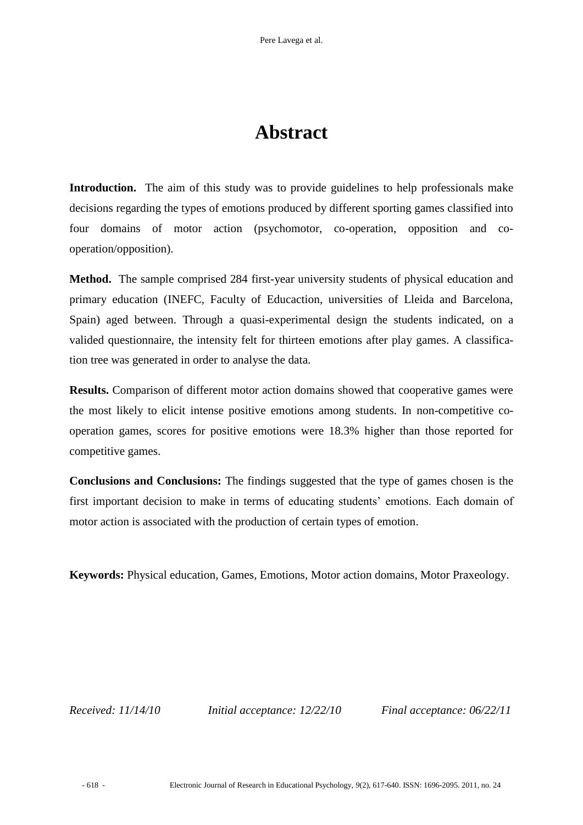## **Abstract**

**Introduction.** The aim of this study was to provide guidelines to help professionals make decisions regarding the types of emotions produced by different sporting games classified into four domains of motor action (psychomotor, co-operation, opposition and cooperation/opposition).

**Method.** The sample comprised 284 first-year university students of physical education and primary education (INEFC, Faculty of Educaction, universities of Lleida and Barcelona, Spain) aged between. Through a quasi-experimental design the students indicated, on a valided questionnaire, the intensity felt for thirteen emotions after play games. A classification tree was generated in order to analyse the data.

**Results.** Comparison of different motor action domains showed that cooperative games were the most likely to elicit intense positive emotions among students. In non-competitive cooperation games, scores for positive emotions were 18.3% higher than those reported for competitive games.

**Conclusions and Conclusions:** The findings suggested that the type of games chosen is the first important decision to make in terms of educating students' emotions. Each domain of motor action is associated with the production of certain types of emotion.

**Keywords:** Physical education, Games, Emotions, Motor action domains, Motor Praxeology.

*Received: 11/14/10 Initial acceptance: 12/22/10 Final acceptance: 06/22/11*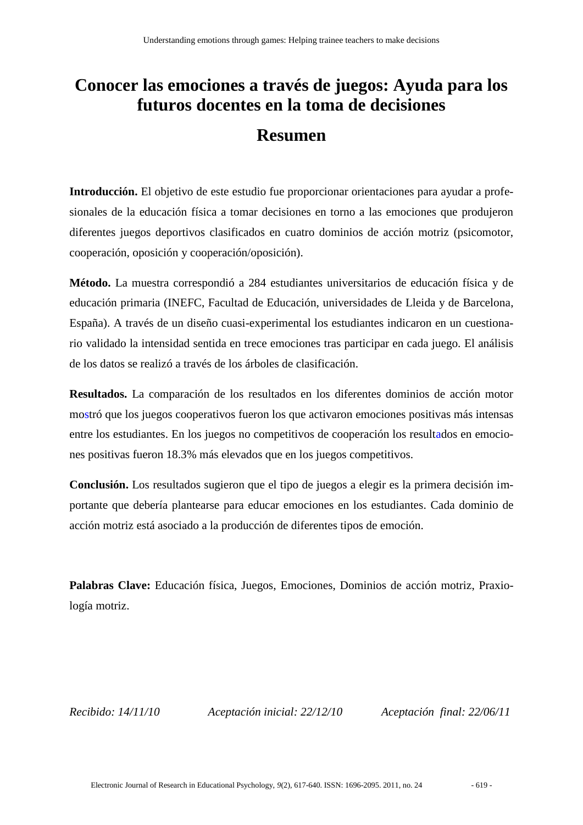## **Conocer las emociones a través de juegos: Ayuda para los futuros docentes en la toma de decisiones**

## **Resumen**

**Introducción.** El objetivo de este estudio fue proporcionar orientaciones para ayudar a profesionales de la educación física a tomar decisiones en torno a las emociones que produjeron diferentes juegos deportivos clasificados en cuatro dominios de acción motriz (psicomotor, cooperación, oposición y cooperación/oposición).

**Método.** La muestra correspondió a 284 estudiantes universitarios de educación física y de educación primaria (INEFC, Facultad de Educación, universidades de Lleida y de Barcelona, España). A través de un diseño cuasi-experimental los estudiantes indicaron en un cuestionario validado la intensidad sentida en trece emociones tras participar en cada juego. El análisis de los datos se realizó a través de los árboles de clasificación.

**Resultados.** La comparación de los resultados en los diferentes dominios de acción motor mostró que los juegos cooperativos fueron los que activaron emociones positivas más intensas entre los estudiantes. En los juegos no competitivos de cooperación los resultados en emociones positivas fueron 18.3% más elevados que en los juegos competitivos.

**Conclusión.** Los resultados sugieron que el tipo de juegos a elegir es la primera decisión importante que debería plantearse para educar emociones en los estudiantes. Cada dominio de acción motriz está asociado a la producción de diferentes tipos de emoción.

**Palabras Clave:** Educación física, Juegos, Emociones, Dominios de acción motriz, Praxiología motriz.

*Recibido: 14/11/10 Aceptación inicial: 22/12/10 Aceptación final: 22/06/11*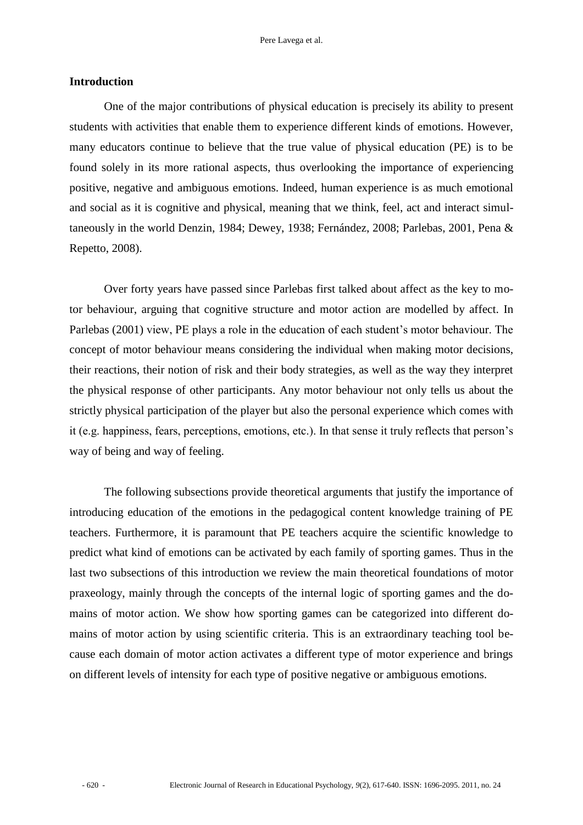### **Introduction**

One of the major contributions of physical education is precisely its ability to present students with activities that enable them to experience different kinds of emotions. However, many educators continue to believe that the true value of physical education (PE) is to be found solely in its more rational aspects, thus overlooking the importance of experiencing positive, negative and ambiguous emotions. Indeed, human experience is as much emotional and social as it is cognitive and physical, meaning that we think, feel, act and interact simultaneously in the world Denzin, 1984; Dewey, 1938; Fernández, 2008; Parlebas, 2001, Pena & Repetto, 2008).

Over forty years have passed since Parlebas first talked about affect as the key to motor behaviour, arguing that cognitive structure and motor action are modelled by affect. In Parlebas (2001) view, PE plays a role in the education of each student's motor behaviour. The concept of motor behaviour means considering the individual when making motor decisions, their reactions, their notion of risk and their body strategies, as well as the way they interpret the physical response of other participants. Any motor behaviour not only tells us about the strictly physical participation of the player but also the personal experience which comes with it (e.g. happiness, fears, perceptions, emotions, etc.). In that sense it truly reflects that person"s way of being and way of feeling.

The following subsections provide theoretical arguments that justify the importance of introducing education of the emotions in the pedagogical content knowledge training of PE teachers. Furthermore, it is paramount that PE teachers acquire the scientific knowledge to predict what kind of emotions can be activated by each family of sporting games. Thus in the last two subsections of this introduction we review the main theoretical foundations of motor praxeology, mainly through the concepts of the internal logic of sporting games and the domains of motor action. We show how sporting games can be categorized into different domains of motor action by using scientific criteria. This is an extraordinary teaching tool because each domain of motor action activates a different type of motor experience and brings on different levels of intensity for each type of positive negative or ambiguous emotions.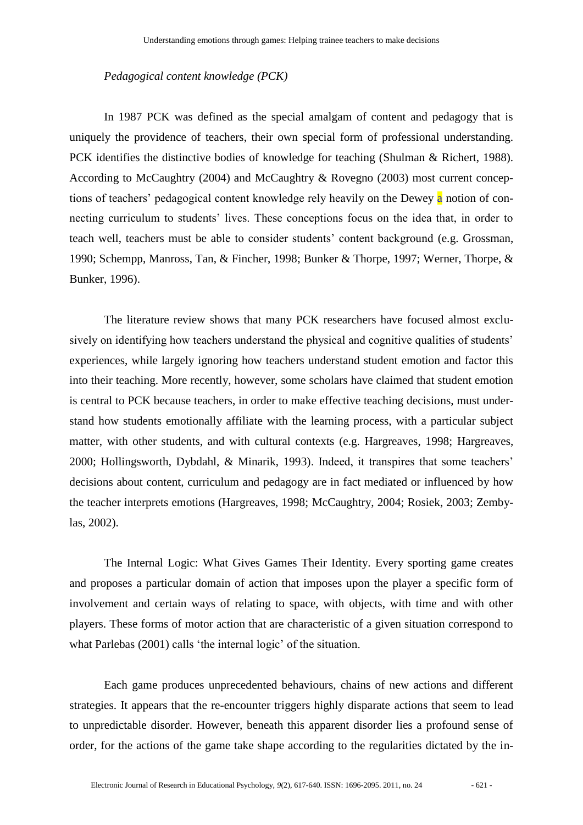#### *Pedagogical content knowledge (PCK)*

In 1987 PCK was defined as the special amalgam of content and pedagogy that is uniquely the providence of teachers, their own special form of professional understanding. PCK identifies the distinctive bodies of knowledge for teaching (Shulman & Richert, 1988). According to McCaughtry (2004) and McCaughtry & Rovegno (2003) most current conceptions of teachers' pedagogical content knowledge rely heavily on the Dewey a notion of connecting curriculum to students' lives. These conceptions focus on the idea that, in order to teach well, teachers must be able to consider students" content background (e.g. Grossman, 1990; Schempp, Manross, Tan, & Fincher, 1998; Bunker & Thorpe, 1997; Werner, Thorpe, & Bunker, 1996).

The literature review shows that many PCK researchers have focused almost exclusively on identifying how teachers understand the physical and cognitive qualities of students' experiences, while largely ignoring how teachers understand student emotion and factor this into their teaching. More recently, however, some scholars have claimed that student emotion is central to PCK because teachers, in order to make effective teaching decisions, must understand how students emotionally affiliate with the learning process, with a particular subject matter, with other students, and with cultural contexts (e.g. Hargreaves, 1998; Hargreaves, 2000; Hollingsworth, Dybdahl, & Minarik, 1993). Indeed, it transpires that some teachers" decisions about content, curriculum and pedagogy are in fact mediated or influenced by how the teacher interprets emotions (Hargreaves, 1998; McCaughtry, 2004; Rosiek, 2003; Zembylas, 2002).

The Internal Logic: What Gives Games Their Identity. Every sporting game creates and proposes a particular domain of action that imposes upon the player a specific form of involvement and certain ways of relating to space, with objects, with time and with other players. These forms of motor action that are characteristic of a given situation correspond to what Parlebas (2001) calls 'the internal logic' of the situation.

Each game produces unprecedented behaviours, chains of new actions and different strategies. It appears that the re-encounter triggers highly disparate actions that seem to lead to unpredictable disorder. However, beneath this apparent disorder lies a profound sense of order, for the actions of the game take shape according to the regularities dictated by the in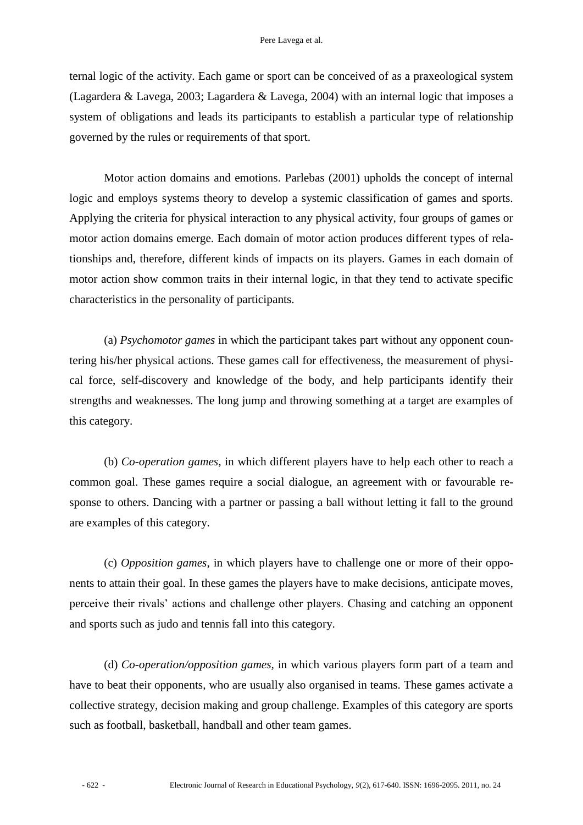ternal logic of the activity. Each game or sport can be conceived of as a praxeological system (Lagardera & Lavega, 2003; Lagardera & Lavega, 2004) with an internal logic that imposes a system of obligations and leads its participants to establish a particular type of relationship governed by the rules or requirements of that sport.

Motor action domains and emotions. Parlebas (2001) upholds the concept of internal logic and employs systems theory to develop a systemic classification of games and sports. Applying the criteria for physical interaction to any physical activity, four groups of games or motor action domains emerge. Each domain of motor action produces different types of relationships and, therefore, different kinds of impacts on its players. Games in each domain of motor action show common traits in their internal logic, in that they tend to activate specific characteristics in the personality of participants.

(a) *Psychomotor games* in which the participant takes part without any opponent countering his/her physical actions. These games call for effectiveness, the measurement of physical force, self-discovery and knowledge of the body, and help participants identify their strengths and weaknesses. The long jump and throwing something at a target are examples of this category.

(b) *Co-operation games*, in which different players have to help each other to reach a common goal. These games require a social dialogue, an agreement with or favourable response to others. Dancing with a partner or passing a ball without letting it fall to the ground are examples of this category.

(c) *Opposition games*, in which players have to challenge one or more of their opponents to attain their goal. In these games the players have to make decisions, anticipate moves, perceive their rivals" actions and challenge other players. Chasing and catching an opponent and sports such as judo and tennis fall into this category.

(d) *Co-operation/opposition games,* in which various players form part of a team and have to beat their opponents, who are usually also organised in teams. These games activate a collective strategy, decision making and group challenge. Examples of this category are sports such as football, basketball, handball and other team games.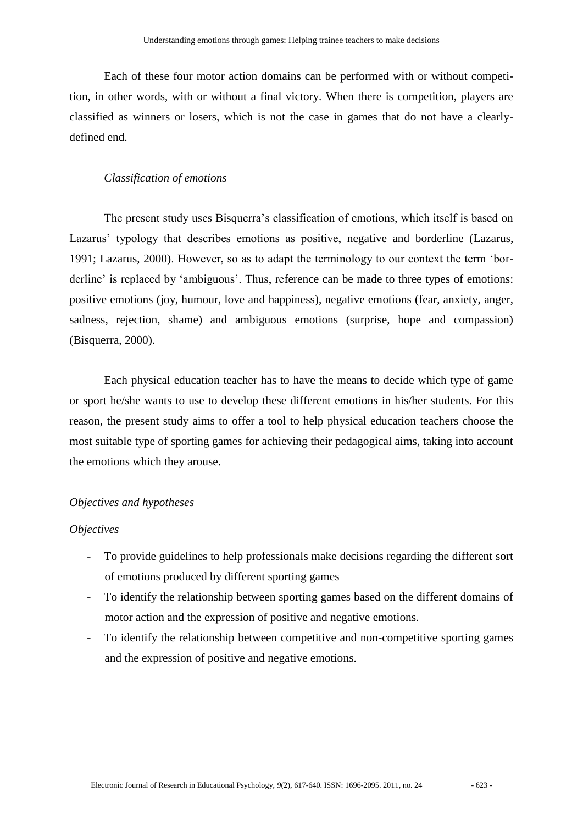Each of these four motor action domains can be performed with or without competition, in other words, with or without a final victory. When there is competition, players are classified as winners or losers, which is not the case in games that do not have a clearlydefined end.

#### *Classification of emotions*

The present study uses Bisquerra's classification of emotions, which itself is based on Lazarus' typology that describes emotions as positive, negative and borderline (Lazarus, 1991; Lazarus, 2000). However, so as to adapt the terminology to our context the term "borderline' is replaced by 'ambiguous'. Thus, reference can be made to three types of emotions: positive emotions (joy, humour, love and happiness), negative emotions (fear, anxiety, anger, sadness, rejection, shame) and ambiguous emotions (surprise, hope and compassion) (Bisquerra, 2000).

Each physical education teacher has to have the means to decide which type of game or sport he/she wants to use to develop these different emotions in his/her students. For this reason, the present study aims to offer a tool to help physical education teachers choose the most suitable type of sporting games for achieving their pedagogical aims, taking into account the emotions which they arouse.

#### *Objectives and hypotheses*

#### *Objectives*

- To provide guidelines to help professionals make decisions regarding the different sort of emotions produced by different sporting games
- To identify the relationship between sporting games based on the different domains of motor action and the expression of positive and negative emotions.
- To identify the relationship between competitive and non-competitive sporting games and the expression of positive and negative emotions.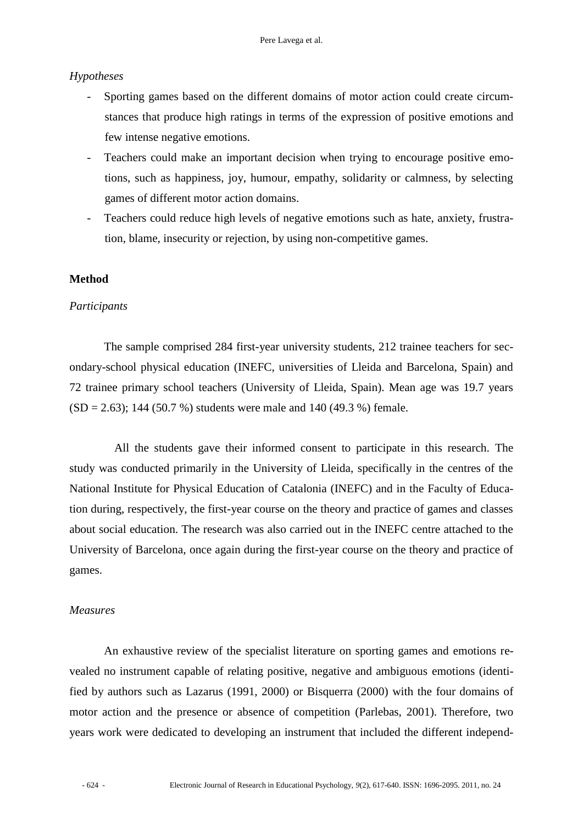### *Hypotheses*

- Sporting games based on the different domains of motor action could create circumstances that produce high ratings in terms of the expression of positive emotions and few intense negative emotions.
- Teachers could make an important decision when trying to encourage positive emotions, such as happiness, joy, humour, empathy, solidarity or calmness, by selecting games of different motor action domains.
- Teachers could reduce high levels of negative emotions such as hate, anxiety, frustration, blame, insecurity or rejection, by using non-competitive games.

### **Method**

#### *Participants*

The sample comprised 284 first-year university students, 212 trainee teachers for secondary-school physical education (INEFC, universities of Lleida and Barcelona, Spain) and 72 trainee primary school teachers (University of Lleida, Spain). Mean age was 19.7 years  $(SD = 2.63)$ ; 144 (50.7 %) students were male and 140 (49.3 %) female.

All the students gave their informed consent to participate in this research. The study was conducted primarily in the University of Lleida, specifically in the centres of the National Institute for Physical Education of Catalonia (INEFC) and in the Faculty of Education during, respectively, the first-year course on the theory and practice of games and classes about social education. The research was also carried out in the INEFC centre attached to the University of Barcelona, once again during the first-year course on the theory and practice of games.

### *Measures*

An exhaustive review of the specialist literature on sporting games and emotions revealed no instrument capable of relating positive, negative and ambiguous emotions (identified by authors such as Lazarus (1991, 2000) or Bisquerra (2000) with the four domains of motor action and the presence or absence of competition (Parlebas, 2001). Therefore, two years work were dedicated to developing an instrument that included the different independ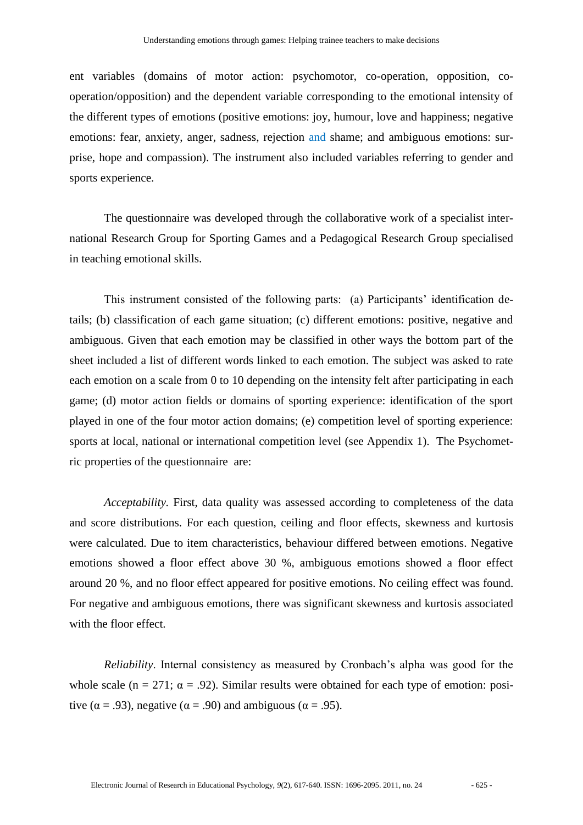ent variables (domains of motor action: psychomotor, co-operation, opposition, cooperation/opposition) and the dependent variable corresponding to the emotional intensity of the different types of emotions (positive emotions: joy, humour, love and happiness; negative emotions: fear, anxiety, anger, sadness, rejection and shame; and ambiguous emotions: surprise, hope and compassion). The instrument also included variables referring to gender and sports experience.

The questionnaire was developed through the collaborative work of a specialist international Research Group for Sporting Games and a Pedagogical Research Group specialised in teaching emotional skills.

This instrument consisted of the following parts: (a) Participants" identification details; (b) classification of each game situation; (c) different emotions: positive, negative and ambiguous. Given that each emotion may be classified in other ways the bottom part of the sheet included a list of different words linked to each emotion. The subject was asked to rate each emotion on a scale from 0 to 10 depending on the intensity felt after participating in each game; (d) motor action fields or domains of sporting experience: identification of the sport played in one of the four motor action domains; (e) competition level of sporting experience: sports at local, national or international competition level (see Appendix 1). The Psychometric properties of the questionnaire are:

*Acceptability.* First, data quality was assessed according to completeness of the data and score distributions. For each question, ceiling and floor effects, skewness and kurtosis were calculated. Due to item characteristics, behaviour differed between emotions. Negative emotions showed a floor effect above 30 %, ambiguous emotions showed a floor effect around 20 %, and no floor effect appeared for positive emotions. No ceiling effect was found. For negative and ambiguous emotions, there was significant skewness and kurtosis associated with the floor effect.

*Reliability*. Internal consistency as measured by Cronbach's alpha was good for the whole scale (n = 271;  $\alpha$  = .92). Similar results were obtained for each type of emotion: positive ( $\alpha$  = .93), negative ( $\alpha$  = .90) and ambiguous ( $\alpha$  = .95).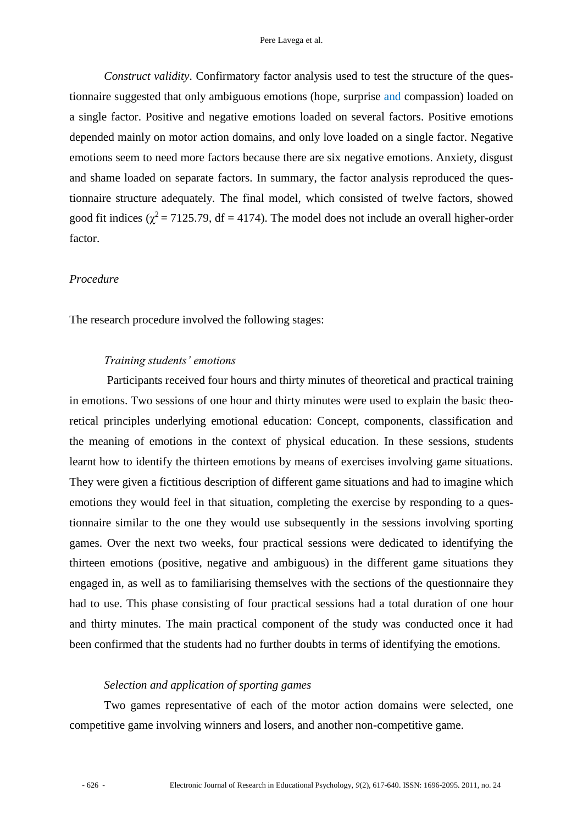*Construct validity*. Confirmatory factor analysis used to test the structure of the questionnaire suggested that only ambiguous emotions (hope, surprise and compassion) loaded on a single factor. Positive and negative emotions loaded on several factors. Positive emotions depended mainly on motor action domains, and only love loaded on a single factor. Negative emotions seem to need more factors because there are six negative emotions. Anxiety, disgust and shame loaded on separate factors. In summary, the factor analysis reproduced the questionnaire structure adequately. The final model, which consisted of twelve factors, showed good fit indices ( $\chi^2$  = 7125.79, df = 4174). The model does not include an overall higher-order factor.

#### *Procedure*

The research procedure involved the following stages:

#### *Training students' emotions*

Participants received four hours and thirty minutes of theoretical and practical training in emotions. Two sessions of one hour and thirty minutes were used to explain the basic theoretical principles underlying emotional education: Concept, components, classification and the meaning of emotions in the context of physical education. In these sessions, students learnt how to identify the thirteen emotions by means of exercises involving game situations. They were given a fictitious description of different game situations and had to imagine which emotions they would feel in that situation, completing the exercise by responding to a questionnaire similar to the one they would use subsequently in the sessions involving sporting games. Over the next two weeks, four practical sessions were dedicated to identifying the thirteen emotions (positive, negative and ambiguous) in the different game situations they engaged in, as well as to familiarising themselves with the sections of the questionnaire they had to use. This phase consisting of four practical sessions had a total duration of one hour and thirty minutes. The main practical component of the study was conducted once it had been confirmed that the students had no further doubts in terms of identifying the emotions.

#### *Selection and application of sporting games*

Two games representative of each of the motor action domains were selected, one competitive game involving winners and losers, and another non-competitive game.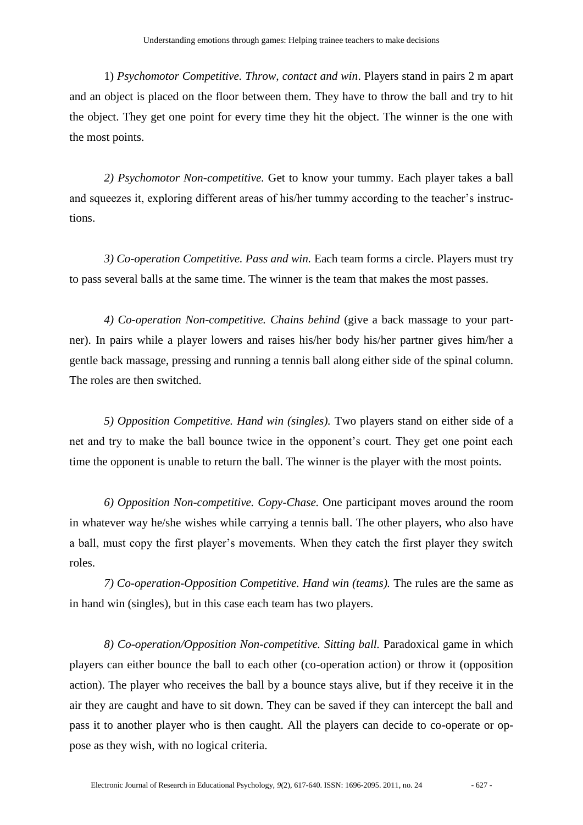1) *Psychomotor Competitive. Throw, contact and win*. Players stand in pairs 2 m apart and an object is placed on the floor between them. They have to throw the ball and try to hit the object. They get one point for every time they hit the object. The winner is the one with the most points.

*2) Psychomotor Non-competitive.* Get to know your tummy. Each player takes a ball and squeezes it, exploring different areas of his/her tummy according to the teacher's instructions.

*3) Co-operation Competitive. Pass and win.* Each team forms a circle. Players must try to pass several balls at the same time. The winner is the team that makes the most passes.

*4) Co-operation Non-competitive. Chains behind* (give a back massage to your partner). In pairs while a player lowers and raises his/her body his/her partner gives him/her a gentle back massage, pressing and running a tennis ball along either side of the spinal column. The roles are then switched.

*5) Opposition Competitive. Hand win (singles).* Two players stand on either side of a net and try to make the ball bounce twice in the opponent"s court. They get one point each time the opponent is unable to return the ball. The winner is the player with the most points.

*6) Opposition Non-competitive. Copy-Chase.* One participant moves around the room in whatever way he/she wishes while carrying a tennis ball. The other players, who also have a ball, must copy the first player"s movements. When they catch the first player they switch roles.

*7) Co-operation-Opposition Competitive. Hand win (teams).* The rules are the same as in hand win (singles), but in this case each team has two players.

*8) Co-operation/Opposition Non-competitive. Sitting ball.* Paradoxical game in which players can either bounce the ball to each other (co-operation action) or throw it (opposition action). The player who receives the ball by a bounce stays alive, but if they receive it in the air they are caught and have to sit down. They can be saved if they can intercept the ball and pass it to another player who is then caught. All the players can decide to co-operate or oppose as they wish, with no logical criteria.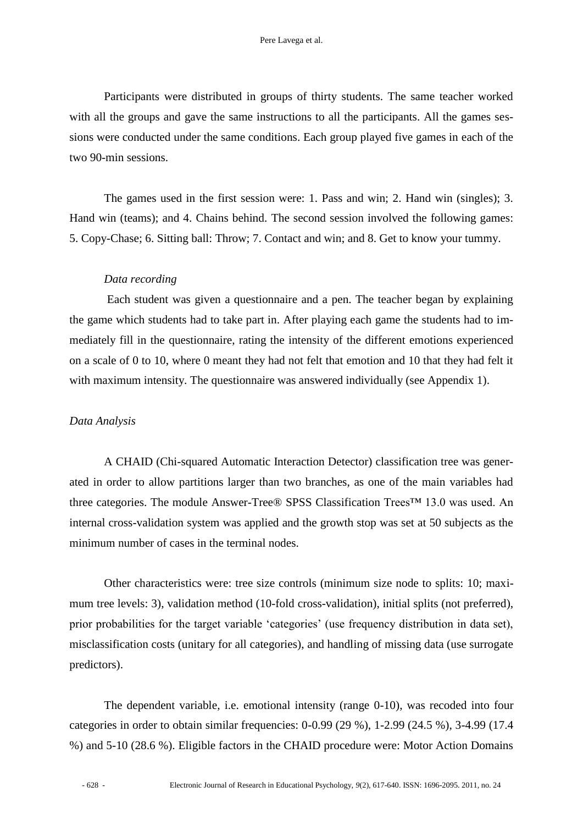Participants were distributed in groups of thirty students. The same teacher worked with all the groups and gave the same instructions to all the participants. All the games sessions were conducted under the same conditions. Each group played five games in each of the two 90-min sessions.

The games used in the first session were: 1. Pass and win; 2. Hand win (singles); 3. Hand win (teams); and 4. Chains behind. The second session involved the following games: 5. Copy-Chase; 6. Sitting ball: Throw; 7. Contact and win; and 8. Get to know your tummy.

#### *Data recording*

Each student was given a questionnaire and a pen. The teacher began by explaining the game which students had to take part in. After playing each game the students had to immediately fill in the questionnaire, rating the intensity of the different emotions experienced on a scale of 0 to 10, where 0 meant they had not felt that emotion and 10 that they had felt it with maximum intensity. The questionnaire was answered individually (see Appendix 1).

#### *Data Analysis*

A CHAID (Chi-squared Automatic Interaction Detector) classification tree was generated in order to allow partitions larger than two branches, as one of the main variables had three categories. The module Answer-Tree® SPSS Classification Trees™ 13.0 was used. An internal cross-validation system was applied and the growth stop was set at 50 subjects as the minimum number of cases in the terminal nodes.

Other characteristics were: tree size controls (minimum size node to splits: 10; maximum tree levels: 3), validation method (10-fold cross-validation), initial splits (not preferred), prior probabilities for the target variable "categories" (use frequency distribution in data set), misclassification costs (unitary for all categories), and handling of missing data (use surrogate predictors).

The dependent variable, i.e. emotional intensity (range 0-10), was recoded into four categories in order to obtain similar frequencies: 0-0.99 (29 %), 1-2.99 (24.5 %), 3-4.99 (17.4 %) and 5-10 (28.6 %). Eligible factors in the CHAID procedure were: Motor Action Domains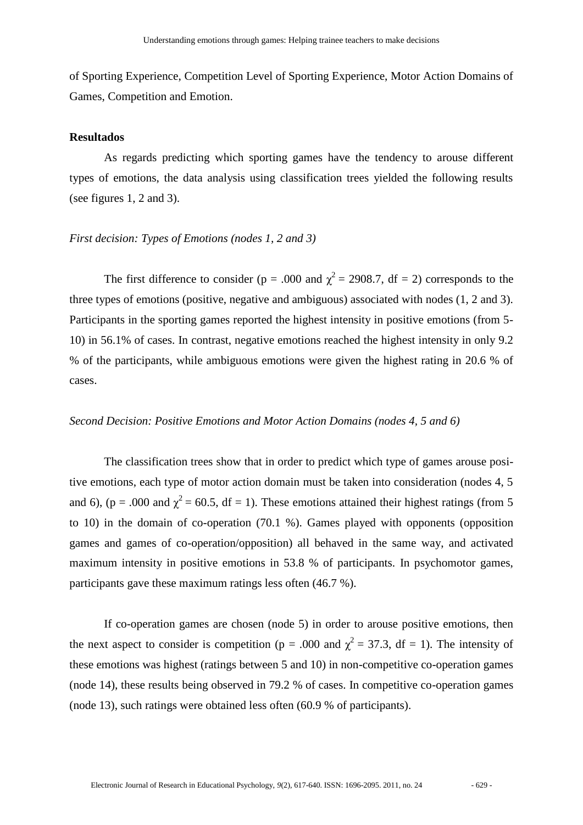of Sporting Experience, Competition Level of Sporting Experience, Motor Action Domains of Games, Competition and Emotion.

#### **Resultados**

As regards predicting which sporting games have the tendency to arouse different types of emotions, the data analysis using classification trees yielded the following results (see figures 1, 2 and 3).

#### *First decision: Types of Emotions (nodes 1, 2 and 3)*

The first difference to consider ( $p = .000$  and  $\chi^2 = 2908.7$ , df = 2) corresponds to the three types of emotions (positive, negative and ambiguous) associated with nodes (1, 2 and 3). Participants in the sporting games reported the highest intensity in positive emotions (from 5- 10) in 56.1% of cases. In contrast, negative emotions reached the highest intensity in only 9.2 % of the participants, while ambiguous emotions were given the highest rating in 20.6 % of cases.

#### *Second Decision: Positive Emotions and Motor Action Domains (nodes 4, 5 and 6)*

The classification trees show that in order to predict which type of games arouse positive emotions, each type of motor action domain must be taken into consideration (nodes 4, 5 and 6), (p = .000 and  $\chi^2$  = 60.5, df = 1). These emotions attained their highest ratings (from 5 to 10) in the domain of co-operation (70.1 %). Games played with opponents (opposition games and games of co-operation/opposition) all behaved in the same way, and activated maximum intensity in positive emotions in 53.8 % of participants. In psychomotor games, participants gave these maximum ratings less often (46.7 %).

If co-operation games are chosen (node 5) in order to arouse positive emotions, then the next aspect to consider is competition ( $p = .000$  and  $\chi^2 = 37.3$ , df = 1). The intensity of these emotions was highest (ratings between 5 and 10) in non-competitive co-operation games (node 14), these results being observed in 79.2 % of cases. In competitive co-operation games (node 13), such ratings were obtained less often (60.9 % of participants).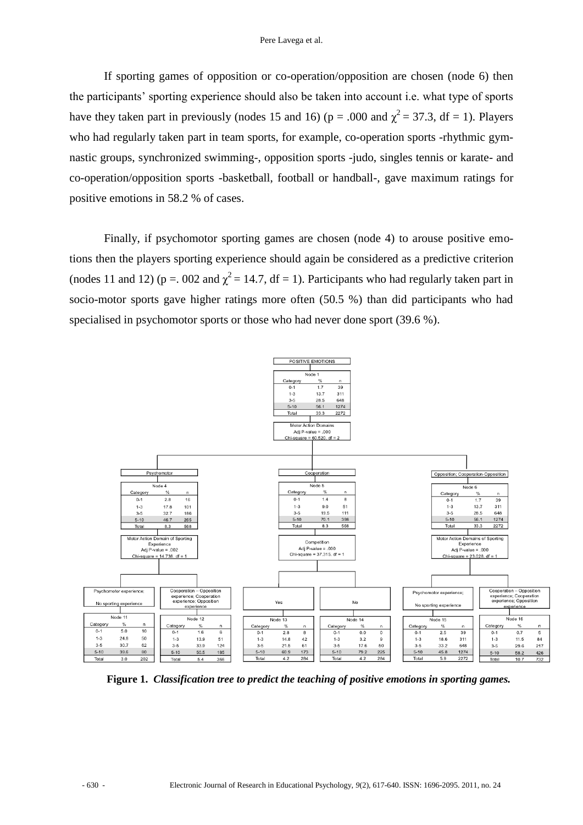If sporting games of opposition or co-operation/opposition are chosen (node 6) then the participants" sporting experience should also be taken into account i.e. what type of sports have they taken part in previously (nodes 15 and 16) ( $p = .000$  and  $\chi^2 = 37.3$ , df = 1). Players who had regularly taken part in team sports, for example, co-operation sports -rhythmic gymnastic groups, synchronized swimming-, opposition sports -judo, singles tennis or karate- and co-operation/opposition sports -basketball, football or handball-, gave maximum ratings for positive emotions in 58.2 % of cases.

Finally, if psychomotor sporting games are chosen (node 4) to arouse positive emotions then the players sporting experience should again be considered as a predictive criterion (nodes 11 and 12) ( $p = 0.002$  and  $\chi^2 = 14.7$ , df = 1). Participants who had regularly taken part in socio-motor sports gave higher ratings more often (50.5 %) than did participants who had specialised in psychomotor sports or those who had never done sport (39.6 %).



**Figure 1.** *Classification tree to predict the teaching of positive emotions in sporting games.*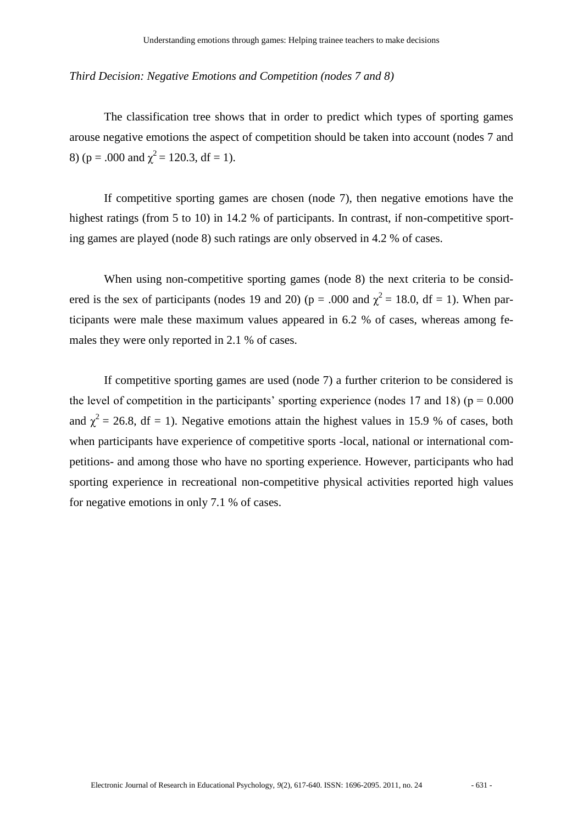#### *Third Decision: Negative Emotions and Competition (nodes 7 and 8)*

The classification tree shows that in order to predict which types of sporting games arouse negative emotions the aspect of competition should be taken into account (nodes 7 and 8) ( $p = .000$  and  $\chi^2 = 120.3$ , df = 1).

If competitive sporting games are chosen (node 7), then negative emotions have the highest ratings (from 5 to 10) in 14.2 % of participants. In contrast, if non-competitive sporting games are played (node 8) such ratings are only observed in 4.2 % of cases.

When using non-competitive sporting games (node 8) the next criteria to be considered is the sex of participants (nodes 19 and 20) ( $p = .000$  and  $\chi^2 = 18.0$ , df = 1). When participants were male these maximum values appeared in 6.2 % of cases, whereas among females they were only reported in 2.1 % of cases.

If competitive sporting games are used (node 7) a further criterion to be considered is the level of competition in the participants' sporting experience (nodes 17 and 18) ( $p = 0.000$ and  $\chi^2$  = 26.8, df = 1). Negative emotions attain the highest values in 15.9 % of cases, both when participants have experience of competitive sports -local, national or international competitions- and among those who have no sporting experience. However, participants who had sporting experience in recreational non-competitive physical activities reported high values for negative emotions in only 7.1 % of cases.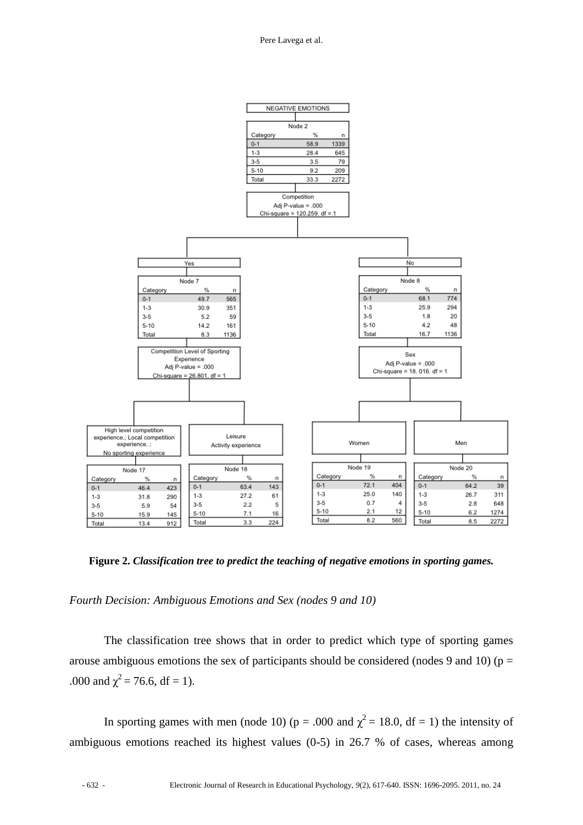

**Figure 2.** *Classification tree to predict the teaching of negative emotions in sporting games.*

*Fourth Decision: Ambiguous Emotions and Sex (nodes 9 and 10)*

The classification tree shows that in order to predict which type of sporting games arouse ambiguous emotions the sex of participants should be considered (nodes 9 and 10) ( $p =$ .000 and  $\chi^2$  = 76.6, df = 1).

In sporting games with men (node 10) ( $p = .000$  and  $\chi^2 = 18.0$ , df = 1) the intensity of ambiguous emotions reached its highest values (0-5) in 26.7 % of cases, whereas among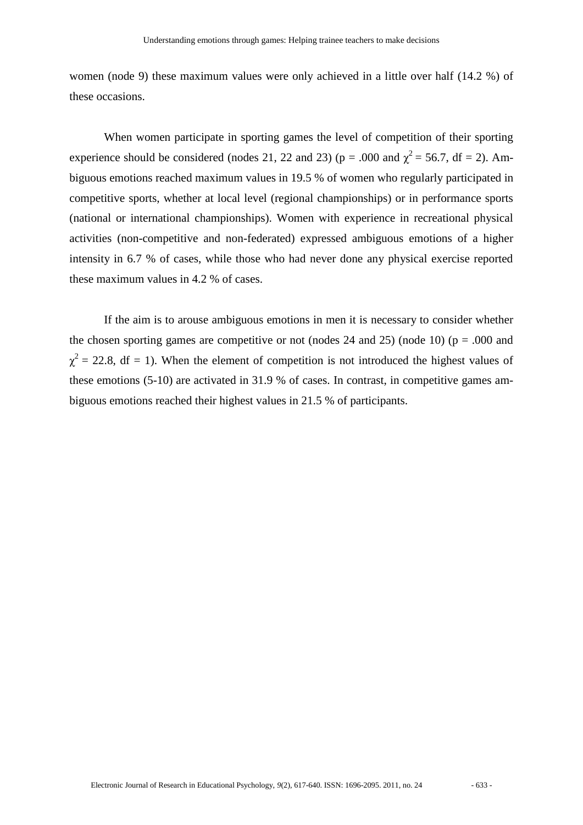women (node 9) these maximum values were only achieved in a little over half (14.2 %) of these occasions.

When women participate in sporting games the level of competition of their sporting experience should be considered (nodes 21, 22 and 23) ( $p = .000$  and  $\chi^2 = 56.7$ , df = 2). Ambiguous emotions reached maximum values in 19.5 % of women who regularly participated in competitive sports, whether at local level (regional championships) or in performance sports (national or international championships). Women with experience in recreational physical activities (non-competitive and non-federated) expressed ambiguous emotions of a higher intensity in 6.7 % of cases, while those who had never done any physical exercise reported these maximum values in 4.2 % of cases.

If the aim is to arouse ambiguous emotions in men it is necessary to consider whether the chosen sporting games are competitive or not (nodes 24 and 25) (node 10) ( $p = .000$  and  $\chi^2$  = 22.8, df = 1). When the element of competition is not introduced the highest values of these emotions (5-10) are activated in 31.9 % of cases. In contrast, in competitive games ambiguous emotions reached their highest values in 21.5 % of participants.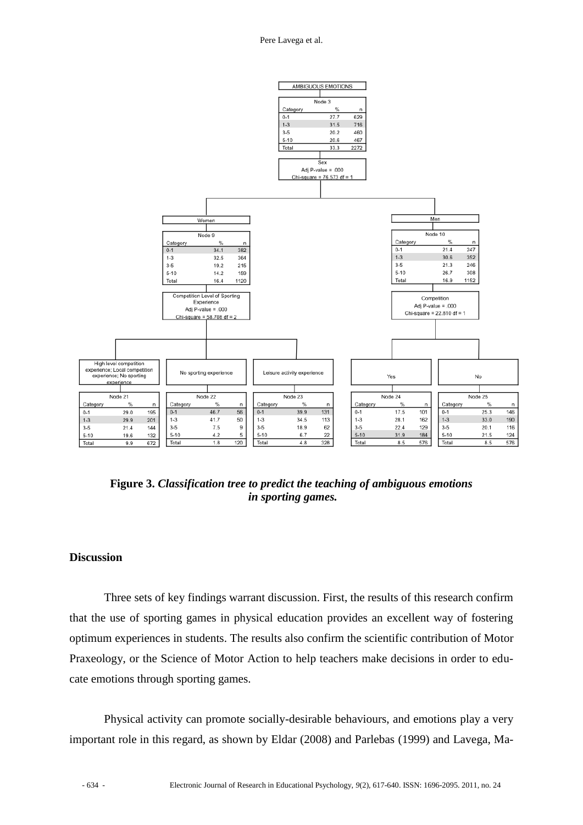

**Figure 3.** *Classification tree to predict the teaching of ambiguous emotions in sporting games.*

## **Discussion**

Three sets of key findings warrant discussion. First, the results of this research confirm that the use of sporting games in physical education provides an excellent way of fostering optimum experiences in students. The results also confirm the scientific contribution of Motor Praxeology, or the Science of Motor Action to help teachers make decisions in order to educate emotions through sporting games.

Physical activity can promote socially-desirable behaviours, and emotions play a very important role in this regard, as shown by Eldar (2008) and Parlebas (1999) and Lavega, Ma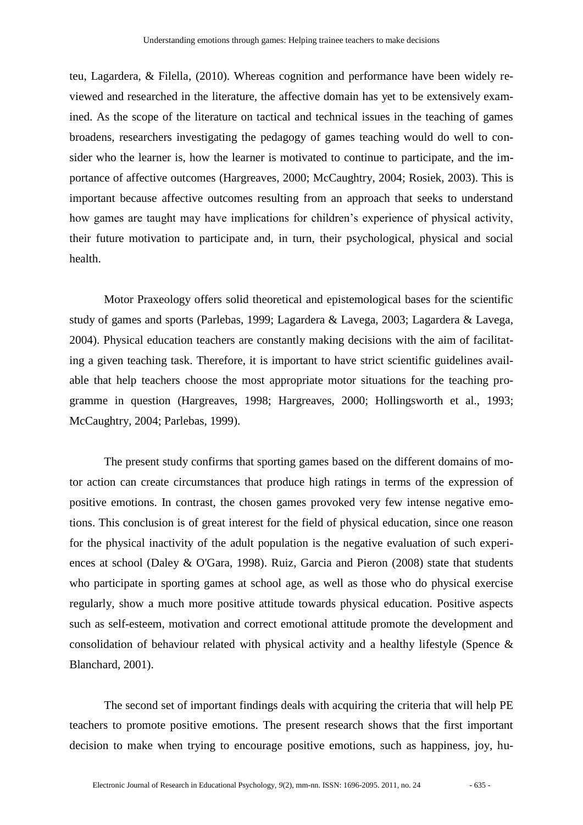teu, Lagardera, & Filella, (2010). Whereas cognition and performance have been widely reviewed and researched in the literature, the affective domain has yet to be extensively examined. As the scope of the literature on tactical and technical issues in the teaching of games broadens, researchers investigating the pedagogy of games teaching would do well to consider who the learner is, how the learner is motivated to continue to participate, and the importance of affective outcomes (Hargreaves, 2000; McCaughtry, 2004; Rosiek, 2003). This is important because affective outcomes resulting from an approach that seeks to understand how games are taught may have implications for children's experience of physical activity, their future motivation to participate and, in turn, their psychological, physical and social health.

Motor Praxeology offers solid theoretical and epistemological bases for the scientific study of games and sports (Parlebas, 1999; Lagardera & Lavega, 2003; Lagardera & Lavega, 2004). Physical education teachers are constantly making decisions with the aim of facilitating a given teaching task. Therefore, it is important to have strict scientific guidelines available that help teachers choose the most appropriate motor situations for the teaching programme in question (Hargreaves, 1998; Hargreaves, 2000; Hollingsworth et al., 1993; McCaughtry, 2004; Parlebas, 1999).

The present study confirms that sporting games based on the different domains of motor action can create circumstances that produce high ratings in terms of the expression of positive emotions. In contrast, the chosen games provoked very few intense negative emotions. This conclusion is of great interest for the field of physical education, since one reason for the physical inactivity of the adult population is the negative evaluation of such experiences at school (Daley & O'Gara, 1998). Ruiz, Garcia and Pieron (2008) state that students who participate in sporting games at school age, as well as those who do physical exercise regularly, show a much more positive attitude towards physical education. Positive aspects such as self-esteem, motivation and correct emotional attitude promote the development and consolidation of behaviour related with physical activity and a healthy lifestyle (Spence & Blanchard, 2001).

The second set of important findings deals with acquiring the criteria that will help PE teachers to promote positive emotions. The present research shows that the first important decision to make when trying to encourage positive emotions, such as happiness, joy, hu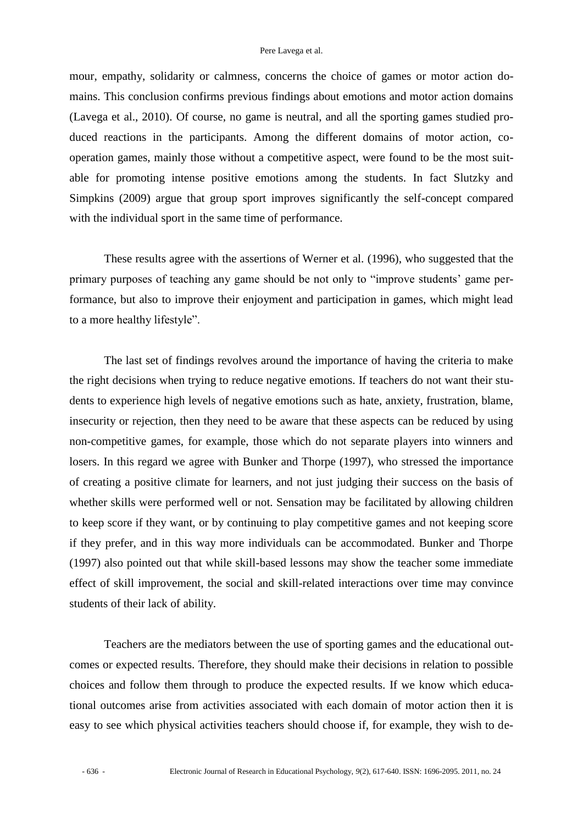mour, empathy, solidarity or calmness, concerns the choice of games or motor action domains. This conclusion confirms previous findings about emotions and motor action domains (Lavega et al., 2010). Of course, no game is neutral, and all the sporting games studied produced reactions in the participants. Among the different domains of motor action, cooperation games, mainly those without a competitive aspect, were found to be the most suitable for promoting intense positive emotions among the students. In fact Slutzky and Simpkins (2009) argue that group sport improves significantly the self-concept compared with the individual sport in the same time of performance.

These results agree with the assertions of Werner et al. (1996), who suggested that the primary purposes of teaching any game should be not only to "improve students" game performance, but also to improve their enjoyment and participation in games, which might lead to a more healthy lifestyle".

The last set of findings revolves around the importance of having the criteria to make the right decisions when trying to reduce negative emotions. If teachers do not want their students to experience high levels of negative emotions such as hate, anxiety, frustration, blame, insecurity or rejection, then they need to be aware that these aspects can be reduced by using non-competitive games, for example, those which do not separate players into winners and losers. In this regard we agree with Bunker and Thorpe (1997), who stressed the importance of creating a positive climate for learners, and not just judging their success on the basis of whether skills were performed well or not. Sensation may be facilitated by allowing children to keep score if they want, or by continuing to play competitive games and not keeping score if they prefer, and in this way more individuals can be accommodated. Bunker and Thorpe (1997) also pointed out that while skill-based lessons may show the teacher some immediate effect of skill improvement, the social and skill-related interactions over time may convince students of their lack of ability.

Teachers are the mediators between the use of sporting games and the educational outcomes or expected results. Therefore, they should make their decisions in relation to possible choices and follow them through to produce the expected results. If we know which educational outcomes arise from activities associated with each domain of motor action then it is easy to see which physical activities teachers should choose if, for example, they wish to de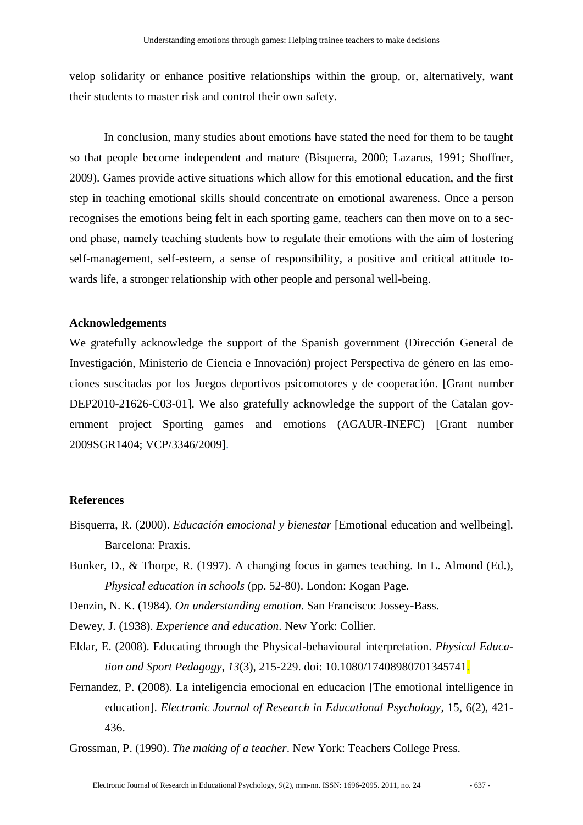velop solidarity or enhance positive relationships within the group, or, alternatively, want their students to master risk and control their own safety.

In conclusion, many studies about emotions have stated the need for them to be taught so that people become independent and mature (Bisquerra, 2000; Lazarus, 1991; Shoffner, 2009). Games provide active situations which allow for this emotional education, and the first step in teaching emotional skills should concentrate on emotional awareness. Once a person recognises the emotions being felt in each sporting game, teachers can then move on to a second phase, namely teaching students how to regulate their emotions with the aim of fostering self-management, self-esteem, a sense of responsibility, a positive and critical attitude towards life, a stronger relationship with other people and personal well-being.

#### **Acknowledgements**

We gratefully acknowledge the support of the Spanish government (Dirección General de Investigación, Ministerio de Ciencia e Innovación) project Perspectiva de género en las emociones suscitadas por los Juegos deportivos psicomotores y de cooperación. [Grant number DEP2010-21626-C03-01]. We also gratefully acknowledge the support of the Catalan government project Sporting games and emotions (AGAUR-INEFC) [Grant number 2009SGR1404; VCP/3346/2009].

#### **References**

- Bisquerra, R. (2000). *Educación emocional y bienestar* [Emotional education and wellbeing]*.* Barcelona: Praxis.
- Bunker, D., & Thorpe, R. (1997). A changing focus in games teaching. In L. Almond (Ed.), *Physical education in schools* (pp. 52-80). London: Kogan Page.
- Denzin, N. K. (1984). *On understanding emotion*. San Francisco: Jossey-Bass.
- Dewey, J. (1938). *Experience and education*. New York: Collier.
- Eldar, E. (2008). Educating through the Physical-behavioural interpretation. *Physical Education and Sport Pedagogy*, *13*(3), 215-229. doi: 10.1080/17408980701345741.
- Fernandez, P. (2008). La inteligencia emocional en educacion [The emotional intelligence in education]. *Electronic Journal of Research in Educational Psychology*, 15, 6(2), 421- 436.

Grossman, P. (1990). *The making of a teacher*. New York: Teachers College Press.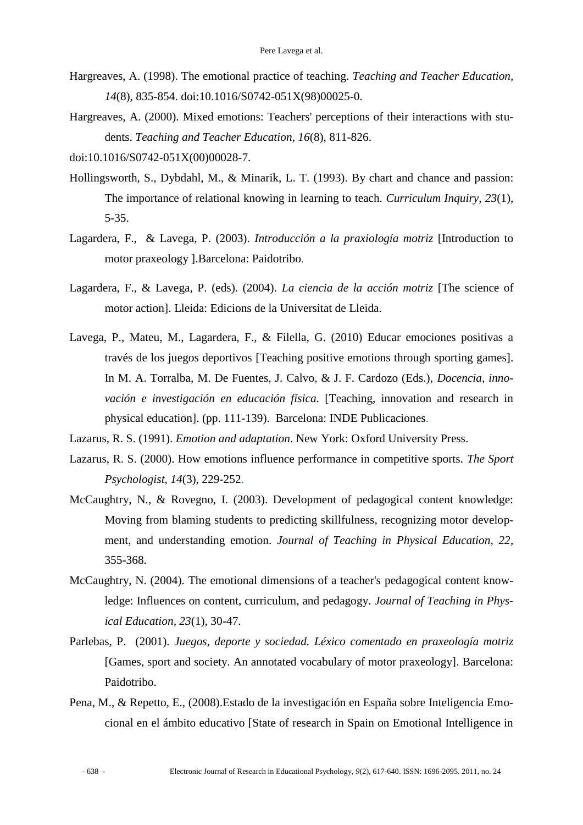- Hargreaves, A. (1998). The emotional practice of teaching. *Teaching and Teacher Education, 14*(8), 835-854. [doi:10.1016/S0742-051X\(98\)00025-0.](http://dx.doi.org/10.1016/S0742-051X%2898%2900025-0)
- Hargreaves, A. (2000). Mixed emotions: Teachers' perceptions of their interactions with students. *Teaching and Teacher Education, 16*(8), 811-826.
- [doi:10.1016/S0742-051X\(00\)00028-7.](http://dx.doi.org/10.1016/S0742-051X%2800%2900028-7)
- Hollingsworth, S., Dybdahl, M., & Minarik, L. T. (1993). By chart and chance and passion: The importance of relational knowing in learning to teach. *Curriculum Inquiry, 23*(1), 5-35.
- Lagardera, F., & Lavega, P. (2003). *Introducción a la praxiología motriz* [Introduction to motor praxeology ].Barcelona: Paidotribo.
- Lagardera, F., & Lavega, P. (eds). (2004). *La ciencia de la acción motriz* [The science of motor action]. Lleida: Edicions de la Universitat de Lleida.
- Lavega, P., Mateu, M., Lagardera, F., & Filella, G. (2010) Educar emociones positivas a través de los juegos deportivos [Teaching positive emotions through sporting games]. In M. A. Torralba, M. De Fuentes, J. Calvo, & J. F. Cardozo (Eds.), *Docencia, innovación e investigación en educación física.* [Teaching, innovation and research in physical education]. (pp. 111-139). Barcelona: INDE Publicaciones.
- Lazarus, R. S. (1991). *Emotion and adaptation*. New York: Oxford University Press.
- Lazarus, R. S. (2000). How emotions influence performance in competitive sports. *The Sport Psychologist, 14*(3), 229-252.
- McCaughtry, N., & Rovegno, I. (2003). Development of pedagogical content knowledge: Moving from blaming students to predicting skillfulness, recognizing motor development, and understanding emotion. *Journal of Teaching in Physical Education, 22*, 355-368.
- McCaughtry, N. (2004). The emotional dimensions of a teacher's pedagogical content knowledge: Influences on content, curriculum, and pedagogy. *Journal of Teaching in Physical Education, 23*(1), 30-47.
- Parlebas, P. (2001). *Juegos, deporte y sociedad. Léxico comentado en praxeología motriz* [Games, sport and society. An annotated vocabulary of motor praxeology]. Barcelona: Paidotribo.
- Pena, M., & Repetto, E., (2008).Estado de la investigación en España sobre Inteligencia Emocional en el ámbito educativo [State of research in Spain on Emotional Intelligence in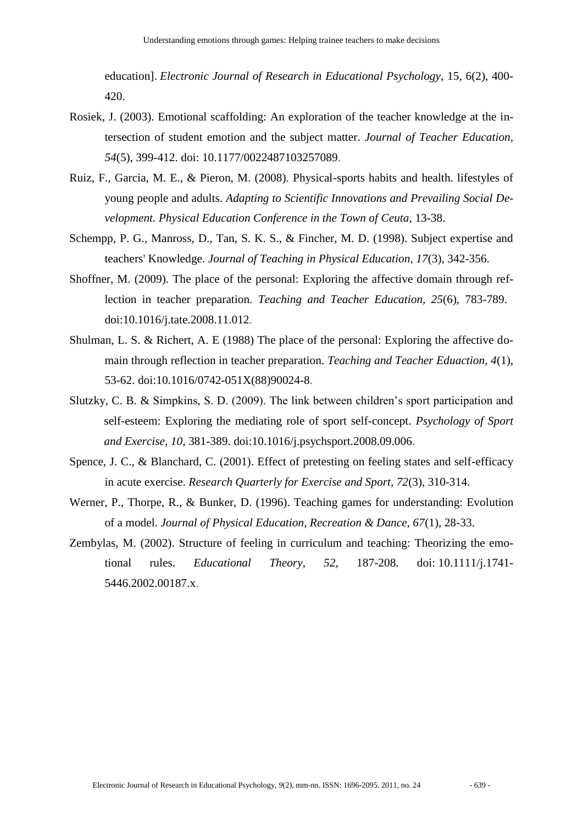education]. *Electronic Journal of Research in Educational Psychology*, 15, 6(2), 400- 420.

- Rosiek, J. (2003). Emotional scaffolding: An exploration of the teacher knowledge at the intersection of student emotion and the subject matter. *Journal of Teacher Education, 54*(5), 399-412. doi: 10.1177/0022487103257089.
- Ruiz, F., Garcia, M. E., & Pieron, M. (2008). Physical-sports habits and health. lifestyles of young people and adults. *Adapting to Scientific Innovations and Prevailing Social Development. Physical Education Conference in the Town of Ceuta, 13-38.*
- Schempp, P. G., Manross, D., Tan, S. K. S., & Fincher, M. D. (1998). Subject expertise and teachers' Knowledge. *Journal of Teaching in Physical Education, 17*(3), 342-356.
- Shoffner, M. (2009). The place of the personal: Exploring the affective domain through reflection in teacher preparation. *Teaching and Teacher Education, 25*(6), 783-789. [doi:10.1016/j.tate.2008.11.012.](http://dx.doi.org/10.1016/j.tate.2008.11.012)
- Shulman, L. S. & Richert, A. E (1988) The place of the personal: Exploring the affective domain through reflection in teacher preparation. *Teaching and Teacher Eduaction, 4*(1), 53-62. [doi:10.1016/0742-051X\(88\)90024-8.](http://dx.doi.org/10.1016/0742-051X%2888%2990024-8)
- Slutzky, C. B. & Simpkins, S. D. (2009). The link between children"s sport participation and self-esteem: Exploring the mediating role of sport self-concept. *Psychology of Sport and Exercise, 10*, 381-389. doi:10.1016/j.psychsport.2008.09.006.
- Spence, J. C., & Blanchard, C. (2001). Effect of pretesting on feeling states and self-efficacy in acute exercise. *Research Quarterly for Exercise and Sport, 72*(3), 310-314.
- Werner, P., Thorpe, R., & Bunker, D. (1996). Teaching games for understanding: Evolution of a model. *Journal of Physical Education, Recreation & Dance, 67*(1), 28-33.
- Zembylas, M. (2002). Structure of feeling in curriculum and teaching: Theorizing the emotional rules. *Educational Theory, 52*, 187-208. doi: 10.1111/j.1741- 5446.2002.00187.x.